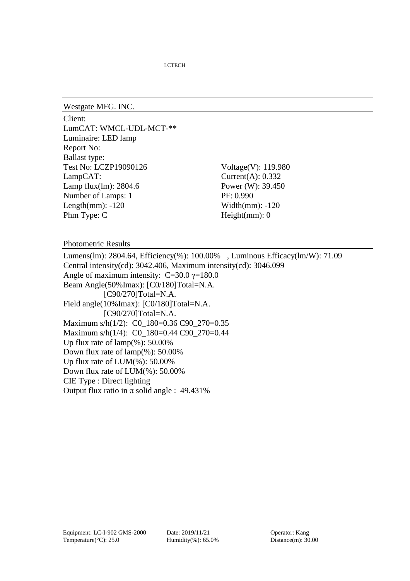LCTECH

Westgate MFG. INC.

Client: LumCAT: WMCL-UDL-MCT-\*\* Luminaire: LED lamp Report No: Ballast type: Test No: LCZP19090126 Voltage(V): 119.980 LampCAT: Current(A): 0.332 Lamp flux(lm): 2804.6 Power (W): 39.450 Number of Lamps: 1 PF: 0.990 Length $(mm)$ :  $-120$ Phm Type: C

Width(mm): -120 Height(mm): 0

Photometric Results

Lumens(lm): 2804.64, Efficiency(%): 100.00% , Luminous Efficacy(lm/W): 71.09 Central intensity(cd): 3042.406, Maximum intensity(cd): 3046.099 Angle of maximum intensity:  $C=30.0$   $\gamma=180.0$ Beam Angle(50%Imax): [C0/180]Total=N.A. [C90/270]Total=N.A. Field angle(10%Imax): [C0/180]Total=N.A. [C90/270]Total=N.A. Maximum s/h(1/2): C0\_180=0.36 C90\_270=0.35 Maximum s/h(1/4): C0\_180=0.44 C90\_270=0.44 Up flux rate of lamp(%): 50.00% Down flux rate of lamp(%): 50.00% Up flux rate of LUM(%): 50.00% Down flux rate of LUM(%): 50.00% CIE Type : Direct lighting Output flux ratio in  $\pi$  solid angle : 49.431%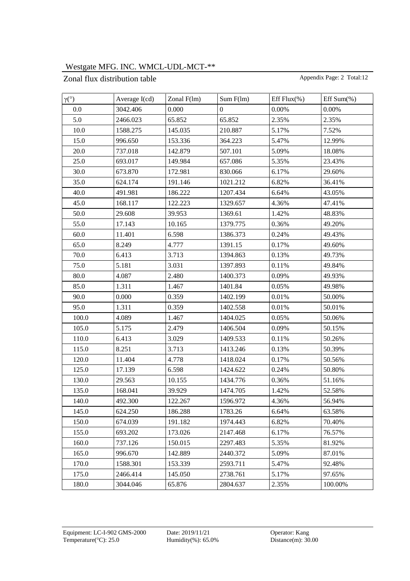### Zonal flux distribution table Appendix Page: 2 Total:12

| $\gamma$ <sup>(°)</sup> | Average $I(cd)$ | Zonal $F(lm)$ | Sum F(lm)        | Eff Flux $(\% )$ | Eff Sum $(\%)$ |
|-------------------------|-----------------|---------------|------------------|------------------|----------------|
| 0.0                     | 3042.406        | 0.000         | $\boldsymbol{0}$ | 0.00%            | 0.00%          |
| 5.0                     | 2466.023        | 65.852        | 65.852           | 2.35%            | 2.35%          |
| 10.0                    | 1588.275        | 145.035       | 210.887          | 5.17%            | 7.52%          |
| 15.0                    | 996.650         | 153.336       | 364.223          | 5.47%            | 12.99%         |
| 20.0                    | 737.018         | 142.879       | 507.101          | 5.09%            | 18.08%         |
| 25.0                    | 693.017         | 149.984       | 657.086          | 5.35%            | 23.43%         |
| 30.0                    | 673.870         | 172.981       | 830.066          | 6.17%            | 29.60%         |
| 35.0                    | 624.174         | 191.146       | 1021.212         | 6.82%            | 36.41%         |
| 40.0                    | 491.981         | 186.222       | 1207.434         | 6.64%            | 43.05%         |
| 45.0                    | 168.117         | 122.223       | 1329.657         | 4.36%            | 47.41%         |
| 50.0                    | 29.608          | 39.953        | 1369.61          | 1.42%            | 48.83%         |
| 55.0                    | 17.143          | 10.165        | 1379.775         | 0.36%            | 49.20%         |
| 60.0                    | 11.401          | 6.598         | 1386.373         | 0.24%            | 49.43%         |
| 65.0                    | 8.249           | 4.777         | 1391.15          | 0.17%            | 49.60%         |
| 70.0                    | 6.413           | 3.713         | 1394.863         | 0.13%            | 49.73%         |
| 75.0                    | 5.181           | 3.031         | 1397.893         | 0.11%            | 49.84%         |
| 80.0                    | 4.087           | 2.480         | 1400.373         | 0.09%            | 49.93%         |
| 85.0                    | 1.311           | 1.467         | 1401.84          | 0.05%            | 49.98%         |
| 90.0                    | 0.000           | 0.359         | 1402.199         | 0.01%            | 50.00%         |
| 95.0                    | 1.311           | 0.359         | 1402.558         | 0.01%            | 50.01%         |
| 100.0                   | 4.089           | 1.467         | 1404.025         | 0.05%            | 50.06%         |
| 105.0                   | 5.175           | 2.479         | 1406.504         | 0.09%            | 50.15%         |
| 110.0                   | 6.413           | 3.029         | 1409.533         | 0.11%            | 50.26%         |
| 115.0                   | 8.251           | 3.713         | 1413.246         | 0.13%            | 50.39%         |
| 120.0                   | 11.404          | 4.778         | 1418.024         | 0.17%            | 50.56%         |
| 125.0                   | 17.139          | 6.598         | 1424.622         | 0.24%            | 50.80%         |
| 130.0                   | 29.563          | 10.155        | 1434.776         | 0.36%            | 51.16%         |
| 135.0                   | 168.041         | 39.929        | 1474.705         | 1.42%            | 52.58%         |
| 140.0                   | 492.300         | 122.267       | 1596.972         | 4.36%            | 56.94%         |
| 145.0                   | 624.250         | 186.288       | 1783.26          | 6.64%            | 63.58%         |
| 150.0                   | 674.039         | 191.182       | 1974.443         | 6.82%            | 70.40%         |
| 155.0                   | 693.202         | 173.026       | 2147.468         | 6.17%            | 76.57%         |
| 160.0                   | 737.126         | 150.015       | 2297.483         | 5.35%            | 81.92%         |
| 165.0                   | 996.670         | 142.889       | 2440.372         | 5.09%            | 87.01%         |
| 170.0                   | 1588.301        | 153.339       | 2593.711         | 5.47%            | 92.48%         |
| 175.0                   | 2466.414        | 145.050       | 2738.761         | 5.17%            | 97.65%         |
| 180.0                   | 3044.046        | 65.876        | 2804.637         | 2.35%            | 100.00%        |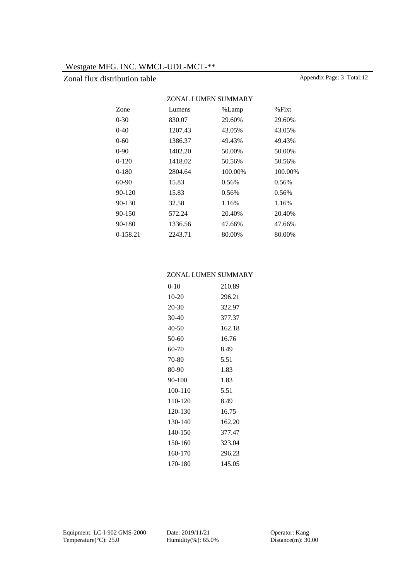## Zonal flux distribution table Appendix Page: 3 Total:12

| ZONAL LUMEN SUMMARY |         |         |          |  |  |  |  |  |
|---------------------|---------|---------|----------|--|--|--|--|--|
| <b>Zone</b>         | Lumens  | %Lamp   | $%$ Fixt |  |  |  |  |  |
| $0 - 30$            | 830.07  | 29.60%  | 29.60%   |  |  |  |  |  |
| $0-40$              | 1207.43 | 43.05%  | 43.05%   |  |  |  |  |  |
| $0 - 60$            | 1386.37 | 49.43%  | 49.43%   |  |  |  |  |  |
| $0-90$              | 1402.20 | 50.00%  | 50.00%   |  |  |  |  |  |
| $0-120$             | 1418.02 | 50.56%  | 50.56%   |  |  |  |  |  |
| $0-180$             | 2804.64 | 100.00% | 100.00%  |  |  |  |  |  |
| 60-90               | 15.83   | 0.56%   | 0.56%    |  |  |  |  |  |
| $90 - 120$          | 15.83   | 0.56%   | 0.56%    |  |  |  |  |  |
| 90-130              | 32.58   | 1.16%   | 1.16%    |  |  |  |  |  |
| 90-150              | 572.24  | 20.40%  | 20.40%   |  |  |  |  |  |
| 90-180              | 1336.56 | 47.66%  | 47.66%   |  |  |  |  |  |
| 0-158.21            | 2243.71 | 80.00%  | 80.00%   |  |  |  |  |  |
|                     |         |         |          |  |  |  |  |  |

### ZONAL LUMEN SUMMARY

| 0-10    | 210.89 |
|---------|--------|
| 10-20   | 296.21 |
| 20-30   | 322.97 |
| 30-40   | 377.37 |
| 40-50   | 162.18 |
| 50-60   | 16.76  |
| 60-70   | 8.49   |
| 70-80   | 5.51   |
| 80-90   | 1.83   |
| 90-100  | 1.83   |
| 100-110 | 5.51   |
| 110-120 | 8.49   |
| 120-130 | 16.75  |
| 130-140 | 162.20 |
| 140-150 | 377.47 |
| 150-160 | 323.04 |
| 160-170 | 296.23 |
| 170-180 | 145.05 |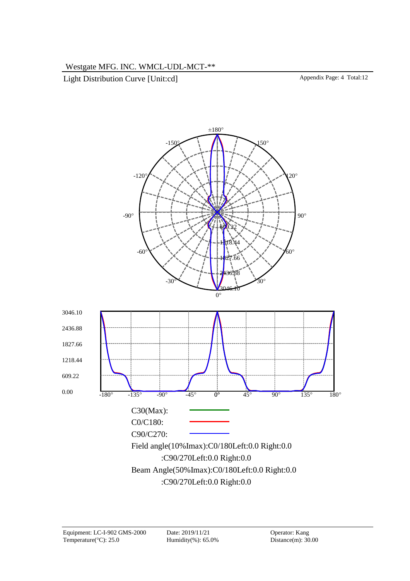Light Distribution Curve [Unit:cd] Appendix Page: 4 Total:12

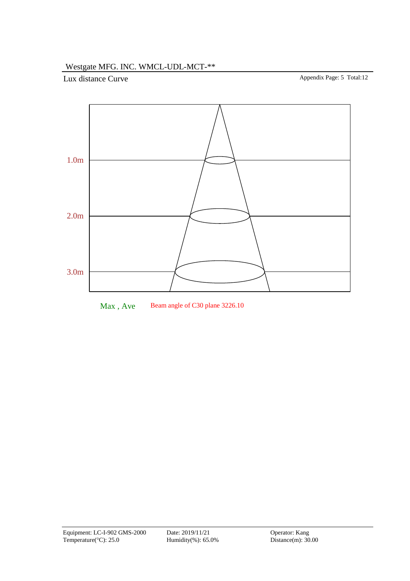Lux distance Curve Appendix Page: 5 Total:12



Max, Ave Beam angle of C30 plane 3226.10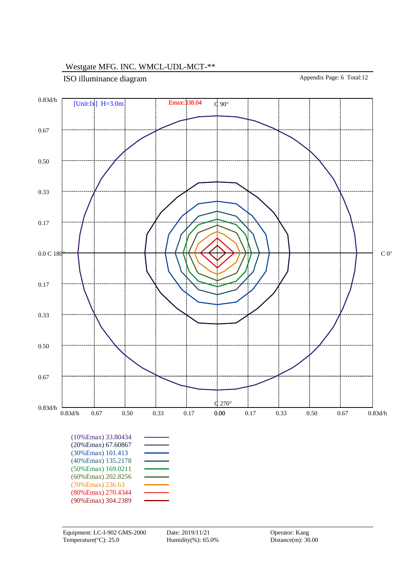ISO illuminance diagram Appendix Page: 6 Total:12

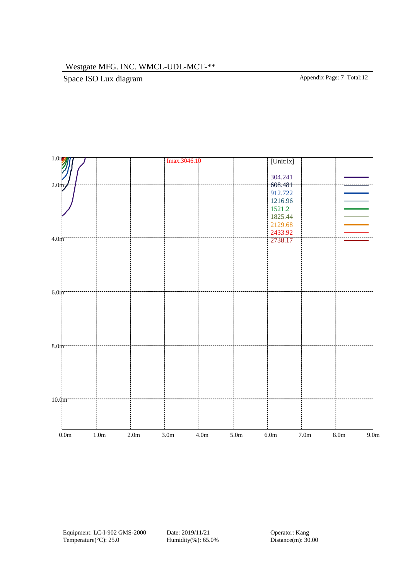Space ISO Lux diagram Appendix Page: 7 Total:12

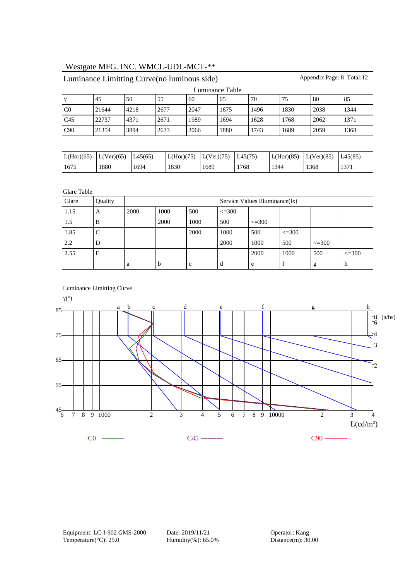Luminance Table γ 45 50 55 60 65 70 75 80 85 C0 21644 4218 2677 2047 1675 1496 1830 2038 1344 C45 22737 4371 2671 1989 1694 1628 1768 2062 1371 C90 21354 3894 2633 2066 1880 1743 1689 2059 1368

Appendix Page: 8 Total:12

| $L(Hor)(65)$ $L(Ver)(65)$ |      | LA5(65) | L(Hor)(75) | $L(Ver)(75)$ $L45(75)$ |      | LL(Hor)(85) | $L(Ver)(85)$ . | L45(85) |
|---------------------------|------|---------|------------|------------------------|------|-------------|----------------|---------|
| 1675                      | 1880 | 1694    | 1830       | 1689                   | 1768 | 1344        | 1368           | 1371    |

Glare Table

| Glare | Quality |      | Service Values Illuminance(1x) |      |            |            |            |            |            |  |  |  |
|-------|---------|------|--------------------------------|------|------------|------------|------------|------------|------------|--|--|--|
| 1.15  | A       | 2000 | 1000                           | 500  | $\leq 300$ |            |            |            |            |  |  |  |
| 1.5   | B       |      | 2000                           | 1000 | 500        | $\leq$ 300 |            |            |            |  |  |  |
| 1.85  |         |      |                                | 2000 | 1000       | 500        | $\leq 300$ |            |            |  |  |  |
| 2.2   | D       |      |                                |      | 2000       | 1000       | 500        | $\leq 300$ |            |  |  |  |
| 2.55  | E       |      |                                |      |            | 2000       | 1000       | 500        | $\leq 300$ |  |  |  |
|       |         | a    | h                              | c    | d          | e          |            | g          | h          |  |  |  |



Luminance Limitting Curve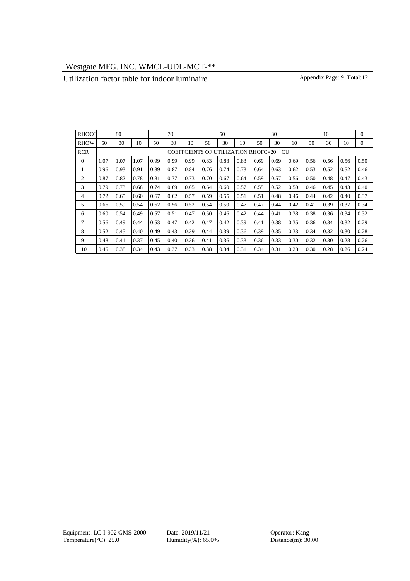## Utilization factor table for indoor luminaire Appendix Page: 9 Total:12

| RHOCC       |                                                  | 80   |      |      | 70   |      |      | 50   |      |      | 30   |      |      | 10   |      | $\Omega$       |
|-------------|--------------------------------------------------|------|------|------|------|------|------|------|------|------|------|------|------|------|------|----------------|
| <b>RHOW</b> | 50                                               | 30   | 10   | 50   | 30   | 10   | 50   | 30   | 10   | 50   | 30   | 10   | 50   | 30   | 10   | $\overline{0}$ |
| <b>RCR</b>  | COEFFCIENTS OF UTILIZATION RHOFC=20<br><b>CU</b> |      |      |      |      |      |      |      |      |      |      |      |      |      |      |                |
| 0           | 1.07                                             | 1.07 | 1.07 | 0.99 | 0.99 | 0.99 | 0.83 | 0.83 | 0.83 | 0.69 | 0.69 | 0.69 | 0.56 | 0.56 | 0.56 | 0.50           |
|             | 0.96                                             | 0.93 | 0.91 | 0.89 | 0.87 | 0.84 | 0.76 | 0.74 | 0.73 | 0.64 | 0.63 | 0.62 | 0.53 | 0.52 | 0.52 | 0.46           |
| 2           | 0.87                                             | 0.82 | 0.78 | 0.81 | 0.77 | 0.73 | 0.70 | 0.67 | 0.64 | 0.59 | 0.57 | 0.56 | 0.50 | 0.48 | 0.47 | 0.43           |
| 3           | 0.79                                             | 0.73 | 0.68 | 0.74 | 0.69 | 0.65 | 0.64 | 0.60 | 0.57 | 0.55 | 0.52 | 0.50 | 0.46 | 0.45 | 0.43 | 0.40           |
| 4           | 0.72                                             | 0.65 | 0.60 | 0.67 | 0.62 | 0.57 | 0.59 | 0.55 | 0.51 | 0.51 | 0.48 | 0.46 | 0.44 | 0.42 | 0.40 | 0.37           |
| 5           | 0.66                                             | 0.59 | 0.54 | 0.62 | 0.56 | 0.52 | 0.54 | 0.50 | 0.47 | 0.47 | 0.44 | 0.42 | 0.41 | 0.39 | 0.37 | 0.34           |
| 6           | 0.60                                             | 0.54 | 0.49 | 0.57 | 0.51 | 0.47 | 0.50 | 0.46 | 0.42 | 0.44 | 0.41 | 0.38 | 0.38 | 0.36 | 0.34 | 0.32           |
| 7           | 0.56                                             | 0.49 | 0.44 | 0.53 | 0.47 | 0.42 | 0.47 | 0.42 | 0.39 | 0.41 | 0.38 | 0.35 | 0.36 | 0.34 | 0.32 | 0.29           |
| 8           | 0.52                                             | 0.45 | 0.40 | 0.49 | 0.43 | 0.39 | 0.44 | 0.39 | 0.36 | 0.39 | 0.35 | 0.33 | 0.34 | 0.32 | 0.30 | 0.28           |
| 9           | 0.48                                             | 0.41 | 0.37 | 0.45 | 0.40 | 0.36 | 0.41 | 0.36 | 0.33 | 0.36 | 0.33 | 0.30 | 0.32 | 0.30 | 0.28 | 0.26           |
| 10          | 0.45                                             | 0.38 | 0.34 | 0.43 | 0.37 | 0.33 | 0.38 | 0.34 | 0.31 | 0.34 | 0.31 | 0.28 | 0.30 | 0.28 | 0.26 | 0.24           |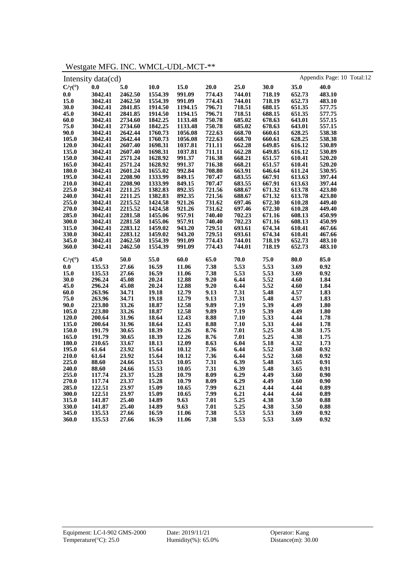Westgate MFG. INC. WMCL-UDL-MCT-\*\*

|                           | Intensity data (cd) |         |         |         |        |                  |        |        | Appendix Page: 10 Total:12 |  |
|---------------------------|---------------------|---------|---------|---------|--------|------------------|--------|--------|----------------------------|--|
| $C/\gamma$ <sup>(°)</sup> | 0.0                 | $5.0$   | 10.0    | 15.0    | 20.0   | 25.0             | 30.0   | 35.0   | 40.0                       |  |
| 0.0                       | 3042.41             | 2462.50 | 1554.39 | 991.09  | 774.43 | 744.01           | 718.19 | 652.73 | 483.10                     |  |
| 15.0                      | 3042.41             | 2462.50 | 1554.39 | 991.09  | 774.43 | 744.01           | 718.19 | 652.73 | 483.10                     |  |
| 30.0                      | 3042.41             | 2841.85 | 1914.50 | 1194.15 | 796.71 | 718.51           | 688.15 | 651.35 | 577.75                     |  |
| 45.0                      | 3042.41             | 2841.85 | 1914.50 | 1194.15 | 796.71 | 718.51           | 688.15 | 651.35 | 577.75                     |  |
| 60.0                      | 3042.41             | 2734.60 | 1842.25 | 1133.48 | 750.78 | 685.02           | 678.63 | 643.01 | 557.15                     |  |
| 75.0                      | 3042.41             | 2734.60 | 1842.25 | 1133.48 | 750.78 | 685.02           | 678.63 | 643.01 | 557.15                     |  |
| 90.0                      | 3042.41             | 2642.44 | 1760.73 | 1056.08 | 722.63 | 668.70           | 660.61 | 628.25 | 538.38                     |  |
| 105.0                     | 3042.41             | 2642.44 | 1760.73 | 1056.08 | 722.63 | 668.70           | 660.61 | 628.25 | 538.38                     |  |
| 120.0                     | 3042.41             | 2607.40 | 1698.31 | 1037.81 | 711.11 | 662.28           | 649.85 | 616.12 | 530.89                     |  |
| 135.0                     | 3042.41             | 2607.40 | 1698.31 | 1037.81 | 711.11 | 662.28           | 649.85 | 616.12 | 530.89                     |  |
| 150.0                     | 3042.41             | 2571.24 | 1628.92 | 991.37  | 716.38 | 668.21           | 651.57 | 610.41 | 520.20                     |  |
| 165.0                     | 3042.41             | 2571.24 | 1628.92 | 991.37  | 716.38 | 668.21           | 651.57 | 610.41 | 520.20                     |  |
| 180.0                     | 3042.41             | 2601.24 | 1655.02 | 992.84  | 708.80 | 663.91           | 646.64 | 611.24 | 530.95                     |  |
| 195.0                     | 3042.41             | 2208.90 | 1333.99 | 849.15  | 707.47 | 683.55           | 667.91 | 613.63 | 397.44                     |  |
| 210.0                     | 3042.41             | 2208.90 | 1333.99 | 849.15  | 707.47 | 683.55           | 667.91 | 613.63 | 397.44                     |  |
| 225.0                     | 3042.41             | 2211.25 | 1382.83 | 892.35  | 721.56 | 688.67           | 671.32 | 613.78 | 423.80                     |  |
| 240.0                     | 3042.41             | 2211.25 | 1382.83 | 892.35  | 721.56 | 688.67           | 671.32 | 613.78 | 423.80                     |  |
| 255.0                     | 3042.41             | 2215.52 | 1424.58 | 921.26  | 731.62 | 697.46           | 672.30 | 610.28 | 449.40                     |  |
| 270.0                     | 3042.41             | 2215.52 | 1424.58 | 921.26  | 731.62 | 697.46           | 672.30 | 610.28 | 449.40                     |  |
| 285.0                     | 3042.41             | 2281.58 | 1455.06 | 957.91  | 740.40 | 702.23           | 671.16 | 608.13 | 450.99                     |  |
| 300.0                     | 3042.41             | 2281.58 | 1455.06 | 957.91  | 740.40 | 702.23           | 671.16 | 608.13 | 450.99                     |  |
| 315.0                     | 3042.41             | 2283.12 | 1459.02 | 943.20  | 729.51 | 693.61           | 674.34 | 610.41 | 467.66                     |  |
| 330.0                     | 3042.41             | 2283.12 | 1459.02 | 943.20  | 729.51 | 693.61           | 674.34 | 610.41 | 467.66                     |  |
| 345.0                     | 3042.41             | 2462.50 | 1554.39 | 991.09  | 774.43 | 744.01           | 718.19 | 652.73 | 483.10                     |  |
| 360.0                     | 3042.41             | 2462.50 | 1554.39 | 991.09  | 774.43 | 744.01           | 718.19 | 652.73 | 483.10                     |  |
| $C/\gamma$ <sup>(°)</sup> | 45.0                | 50.0    | 55.0    | 60.0    | 65.0   | 70.0             | 75.0   | 80.0   | 85.0                       |  |
| 0.0                       | 135.53              | 27.66   | 16.59   | 11.06   | 7.38   | 5.53             | 5.53   | 3.69   | 0.92                       |  |
| 15.0                      | 135.53              | 27.66   | 16.59   | 11.06   | 7.38   | 5.53             | 5.53   | 3.69   | 0.92                       |  |
| 30.0                      | 296.24              | 45.08   | 20.24   | 12.88   | 9.20   | 6.44             | 5.52   | 4.60   | 1.84                       |  |
| 45.0                      | 296.24              | 45.08   | 20.24   | 12.88   | 9.20   | 6.44             | 5.52   | 4.60   | 1.84                       |  |
| 60.0                      | 263.96              | 34.71   | 19.18   | 12.79   | 9.13   | 7.31             | 5.48   | 4.57   | 1.83                       |  |
| 75.0                      | 263.96              | 34.71   | 19.18   | 12.79   | 9.13   | 7.31             | 5.48   | 4.57   | 1.83                       |  |
| 90.0                      | 223.80              | 33.26   | 18.87   | 12.58   | 9.89   | 7.19             | 5.39   | 4.49   | 1.80                       |  |
| 105.0                     | 223.80              | 33.26   | 18.87   | 12.58   | 9.89   | 7.19             | 5.39   | 4.49   | 1.80                       |  |
| 120.0                     | 200.64              | 31.96   | 18.64   | 12.43   | 8.88   | 7.10             | 5.33   | 4.44   | 1.78                       |  |
| 135.0                     | 200.64              | 31.96   | 18.64   | 12.43   | 8.88   | 7.10             | 5.33   | 4.44   | 1.78                       |  |
| 150.0                     | 191.79              | 30.65   | 18.39   | 12.26   | 8.76   | 7.01             | 5.25   | 4.38   | 1.75                       |  |
| 165.0                     | 191.79              | 30.65   | 18.39   | 12.26   | 8.76   | 7.01             | 5.25   | 4.38   | 1.75                       |  |
| 180.0                     | 210.65              | 33.67   | 18.13   | 12.09   | 8.63   | 6.04             | 5.18   | 4.32   | 1.73                       |  |
| 195.0                     | 61.64               | 23.92   | 15.64   | 10.12   | 7.36   | 6.44             | 5.52   | 3.68   | 0.92                       |  |
| 210.0                     | 61.64               | 23.92   | 15.64   | 10.12   | 7.36   |                  | 5.52   | 3.68   | 0.92                       |  |
| 225.0                     | 88.60               | 24.66   | 15.53   | 10.05   | 7.31   | $6.44$<br>$6.39$ | 5.48   | 3.65   | $0.91\,$                   |  |
| 240.0                     | 88.60               | 24.66   | 15.53   | 10.05   | 7.31   | 6.39             | 5.48   | 3.65   | 0.91                       |  |
| 255.0                     | 117.74              | 23.37   | 15.28   | 10.79   | 8.09   | 6.29             | 4.49   | 3.60   | 0.90                       |  |
| 270.0                     | 117.74              | 23.37   | 15.28   | 10.79   | 8.09   | 6.29             | 4.49   | 3.60   | 0.90                       |  |
| 285.0                     | 122.51              | 23.97   | 15.09   | 10.65   | 7.99   | 6.21             | 4.44   | 4.44   | 0.89                       |  |
| 300.0                     | 122.51              | 23.97   | 15.09   | 10.65   | 7.99   | 6.21             | 4.44   | 4.44   | 0.89                       |  |
| 315.0                     | 141.87              | 25.40   | 14.89   | 9.63    | 7.01   | 5.25             | 4.38   | 3.50   | $\boldsymbol{0.88}$        |  |
| 330.0                     | 141.87              | 25.40   | 14.89   | 9.63    | 7.01   | 5.25             | 4.38   | 3.50   | 0.88                       |  |
| 345.0                     | 135.53              | 27.66   | 16.59   | 11.06   | 7.38   | 5.53             | 5.53   | 3.69   | 0.92                       |  |
| 360.0                     | 135.53              | 27.66   | 16.59   | 11.06   | 7.38   | 5.53             | 5.53   | 3.69   | 0.92                       |  |
|                           |                     |         |         |         |        |                  |        |        |                            |  |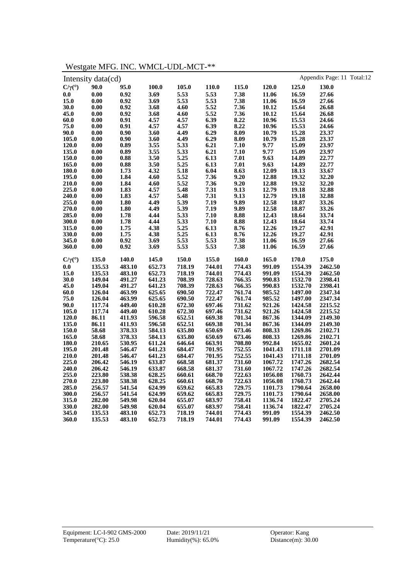|                           | Intensity data(cd)  |                     |        |                     |        |        |         |         | Appendix Page: 11 Total:12 |
|---------------------------|---------------------|---------------------|--------|---------------------|--------|--------|---------|---------|----------------------------|
| $C/\gamma$ <sup>(°)</sup> | 90.0                | 95.0                | 100.0  | 105.0               | 110.0  | 115.0  | 120.0   | 125.0   | 130.0                      |
| 0.0                       | 0.00                | 0.92                | 3.69   | 5.53                | 5.53   | 7.38   | 11.06   | 16.59   | 27.66                      |
| 15.0                      | 0.00                | 0.92                | 3.69   | 5.53                | 5.53   | 7.38   | 11.06   | 16.59   | 27.66                      |
| 30.0                      | 0.00                | 0.92                | 3.68   | 4.60                | 5.52   | 7.36   | 10.12   | 15.64   | 26.68                      |
| 45.0                      | 0.00                | 0.92                | 3.68   | 4.60                | 5.52   | 7.36   | 10.12   | 15.64   | 26.68                      |
| 60.0                      | 0.00                | 0.91                | 4.57   | 4.57                | 6.39   | 8.22   | 10.96   | 15.53   | 24.66                      |
| 75.0                      | $\boldsymbol{0.00}$ | 0.91                | 4.57   | 4.57                | 6.39   | 8.22   | 10.96   | 15.53   | 24.66                      |
| 90.0                      | 0.00                | 0.90                | 3.60   | 4.49                | 6.29   | 8.09   | 10.79   | 15.28   | 23.37                      |
| 105.0                     | 0.00                | 0.90                | 3.60   | 4.49                | 6.29   | 8.09   | 10.79   | 15.28   | 23.37                      |
| 120.0                     | $\boldsymbol{0.00}$ | 0.89                | 3.55   | 5.33                | 6.21   | 7.10   | 9.77    | 15.09   | 23.97                      |
| 135.0                     | $\boldsymbol{0.00}$ | 0.89                | 3.55   |                     | 6.21   | 7.10   | 9.77    | 15.09   | 23.97                      |
| 150.0                     | $\boldsymbol{0.00}$ | 0.88                | 3.50   | $\frac{5.33}{5.25}$ | 6.13   | 7.01   | 9.63    | 14.89   | 22.77                      |
| 165.0                     | 0.00                | 0.88                | 3.50   | 5.25                | 6.13   | $7.01$ | 9.63    | 14.89   | 22.77                      |
| 180.0                     | $\boldsymbol{0.00}$ | 1.73                | 4.32   | 5.18                | 6.04   | 8.63   | 12.09   | 18.13   | 33.67                      |
| 195.0                     | $\boldsymbol{0.00}$ | 1.84                | 4.60   | 5.52                | 7.36   | 9.20   | 12.88   | 19.32   | 32.20                      |
| 210.0                     | $\boldsymbol{0.00}$ | 1.84                | 4.60   | 5.52                | 7.36   | 9.20   | 12.88   | 19.32   | 32.20                      |
| 225.0                     | $\boldsymbol{0.00}$ | 1.83                | 4.57   | 5.48                | 7.31   | 9.13   | 12.79   | 19.18   | 32.88                      |
| 240.0                     | $\boldsymbol{0.00}$ |                     | 4.57   | 5.48                | 7.31   | 9.13   | 12.79   | 19.18   | 32.88                      |
| 255.0                     | 0.00                | $\frac{1.83}{1.80}$ | 4.49   | 5.39                | 7.19   | 9.89   | 12.58   | 18.87   | 33.26                      |
| 270.0                     | $\boldsymbol{0.00}$ | 1.80                | 4.49   |                     | 7.19   | 9.89   | 12.58   | 18.87   | 33.26                      |
| 285.0                     | $\boldsymbol{0.00}$ | $1.78\,$            | 4.44   | $\frac{5.39}{5.33}$ | 7.10   | 8.88   | 12.43   | 18.64   | 33.74                      |
| 300.0                     | 0.00                | 1.78                | 4.44   | 5.33                | 7.10   | 8.88   | 12.43   | 18.64   | 33.74                      |
| 315.0                     | $\boldsymbol{0.00}$ | 1.75                | 4.38   | 5.25                | 6.13   | 8.76   | 12.26   | 19.27   | 42.91                      |
| 330.0                     | $\boldsymbol{0.00}$ | 1.75                | 4.38   | 5.25                | 6.13   | 8.76   | 12.26   | 19.27   | 42.91                      |
| 345.0                     | 0.00                | 0.92                | 3.69   | 5.53                | 5.53   | 7.38   | 11.06   | 16.59   | 27.66                      |
| 360.0                     | 0.00                | 0.92                | 3.69   | 5.53                | 5.53   | 7.38   | 11.06   | 16.59   | 27.66                      |
| $C/\gamma$ <sup>(°)</sup> | 135.0               | 140.0               | 145.0  | 150.0               | 155.0  | 160.0  | 165.0   | 170.0   | 175.0                      |
| 0.0                       | 135.53              | 483.10              | 652.73 | 718.19              | 744.01 | 774.43 | 991.09  | 1554.39 | 2462.50                    |
| 15.0                      | 135.53              | 483.10              | 652.73 | 718.19              | 744.01 | 774.43 | 991.09  | 1554.39 | 2462.50                    |
| 30.0                      | 149.04              | 491.27              | 641.23 | 708.39              | 728.63 | 766.35 | 990.83  | 1532.70 | 2398.41                    |
| 45.0                      | 149.04              | 491.27              | 641.23 | 708.39              | 728.63 | 766.35 | 990.83  | 1532.70 | 2398.41                    |
| 60.0                      | 126.04              | 463.99              | 625.65 | 690.50              | 722.47 | 761.74 | 985.52  | 1497.00 | 2347.34                    |
| 75.0                      | 126.04              | 463.99              | 625.65 | 690.50              | 722.47 | 761.74 | 985.52  | 1497.00 | 2347.34                    |
| 90.0                      | 117.74              | 449.40              | 610.28 | 672.30              | 697.46 | 731.62 | 921.26  | 1424.58 | 2215.52                    |
| 105.0                     | 117.74              | 449.40              | 610.28 | 672.30              | 697.46 | 731.62 | 921.26  | 1424.58 | 2215.52                    |
| 120.0                     | 86.11               | 411.93              | 596.58 | 652.51              | 669.38 | 701.34 | 867.36  | 1344.09 | 2149.30                    |
| 135.0                     | 86.11               | 411.93              | 596.58 | 652.51              | 669.38 | 701.34 | 867.36  | 1344.09 | 2149.30                    |
| 150.0                     | 58.68               | 378.33              | 584.13 | 635.80              | 650.69 | 673.46 | 808.33  | 1269.86 | 2102.71                    |
| 165.0                     | 58.68               | 378.33              | 584.13 | 635.80              | 650.69 | 673.46 | 808.33  | 1269.86 | 2102.71                    |
| 180.0                     | 210.65              | 530.95              | 611.24 | 646.64              | 663.91 | 708.80 | 992.84  | 1655.02 | 2601.24                    |
| 195.0                     | 201.48              | 546.47              | 641.23 | 684.47              | 701.95 | 752.55 | 1041.43 | 1711.18 | 2701.09                    |
| 210.0                     | 201.48              | 546.47              | 641.23 | 684.47              | 701.95 | 752.55 | 1041.43 | 1711.18 | 2701.09                    |
| 225.0                     | 206.42              | 546.19              | 633.87 | 668.58              | 681.37 | 731.60 | 1067.72 | 1747.26 | 2682.54                    |
| 240.0                     | 206.42              | 546.19              | 633.87 | 668.58              | 681.37 | 731.60 | 1067.72 | 1747.26 | 2682.54                    |
| 255.0                     | 223.80              | 538.38              | 628.25 | 660.61              | 668.70 | 722.63 | 1056.08 | 1760.73 | 2642.44                    |
| 270.0                     | 223.80              | 538.38              | 628.25 | 660.61              | 668.70 | 722.63 | 1056.08 | 1760.73 | 2642.44                    |
| 285.0                     | 256.57              | 541.54              | 624.99 | 659.62              | 665.83 | 729.75 | 1101.73 | 1790.64 | 2658.00                    |
| 300.0                     | 256.57              | 541.54              | 624.99 | 659.62              | 665.83 | 729.75 | 1101.73 | 1790.64 | 2658.00                    |
| 315.0                     | 282.00              | 549.98              | 620.04 | 655.07              | 683.97 | 758.41 | 1136.74 | 1822.47 | 2705.24                    |
| 330.0                     | 282.00              | 549.98              | 620.04 | 655.07              | 683.97 | 758.41 | 1136.74 | 1822.47 | 2705.24                    |
| 345.0                     | 135.53              | 483.10              | 652.73 | 718.19              | 744.01 | 774.43 | 991.09  | 1554.39 | 2462.50                    |
| 360.0                     | 135.53              | 483.10              | 652.73 | 718.19              | 744.01 | 774.43 | 991.09  | 1554.39 | 2462.50                    |
|                           |                     |                     |        |                     |        |        |         |         |                            |